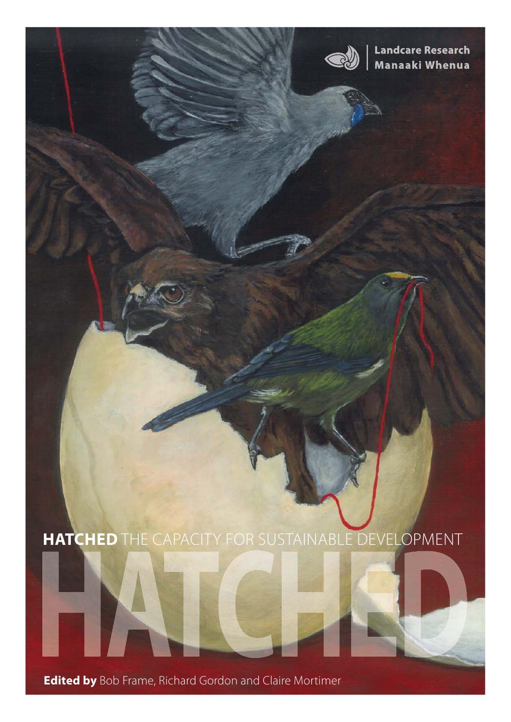

**Landcare Research** Manaaki Whenua

### **HATCHED** THE CAPACITY FOR SUSTAINABLE DEVELOPMENT

**Edited by** Bob Frame, Richard Gordon and Claire Mortimer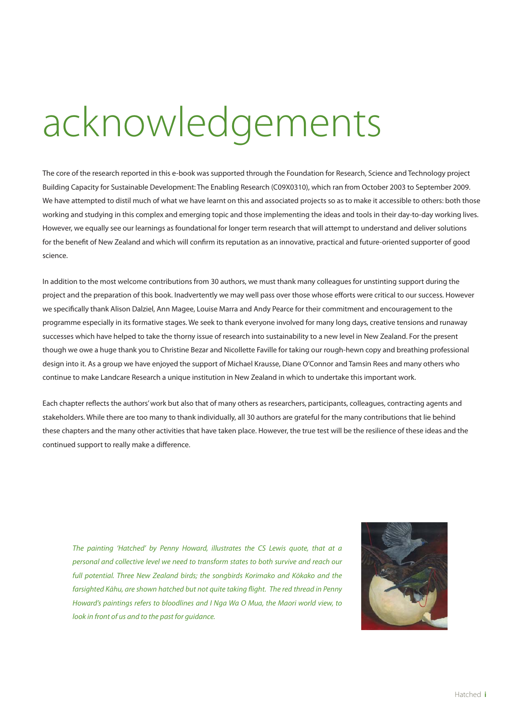# acknowledgements

The core of the research reported in this e-book was supported through the Foundation for Research, Science and Technology project [Building Capacity for Sustainable Development: The Enabling Research](http://www.landcareresearch.co.nz/research/programme.asp?Proj_Collab_ID=5) (C09X0310), which ran from October 2003 to September 2009. We have attempted to distil much of what we have learnt on this and associated projects so as to make it accessible to others: both those working and studying in this complex and emerging topic and those implementing the ideas and tools in their day-to-day working lives. However, we equally see our learnings as foundational for longer term research that will attempt to understand and deliver solutions for the benefit of New Zealand and which will confirm its reputation as an innovative, practical and future-oriented supporter of good science.

In addition to the most welcome contributions from 30 authors, we must thank many colleagues for unstinting support during the project and the preparation of this book. Inadvertently we may well pass over those whose efforts were critical to our success. However we specifically thank Alison Dalziel, Ann Magee, Louise Marra and Andy Pearce for their commitment and encouragement to the programme especially in its formative stages. We seek to thank everyone involved for many long days, creative tensions and runaway successes which have helped to take the thorny issue of research into sustainability to a new level in New Zealand. For the present though we owe a huge thank you to Christine Bezar and Nicollette Faville for taking our rough-hewn copy and breathing professional design into it. As a group we have enjoyed the support of Michael Krausse, Diane O'Connor and Tamsin Rees and many others who continue to make Landcare Research a unique institution in New Zealand in which to undertake this important work.

Each chapter reflects the authors' work but also that of many others as researchers, participants, colleagues, contracting agents and stakeholders. While there are too many to thank individually, all 30 authors are grateful for the many contributions that lie behind these chapters and the many other activities that have taken place. However, the true test will be the resilience of these ideas and the continued support to really make a difference.

The painting 'Hatched' by Penny Howard, illustrates the CS Lewis quote, that at a personal and collective level we need to transform states to both survive and reach our full potential. Three New Zealand birds; the songbirds Korimako and Kōkako and the farsighted Kāhu, are shown hatched but not quite taking flight. The red thread in Penny Howard's paintings refers to bloodlines and I Nga Wa O Mua, the Maori world view, to look in front of us and to the past for auidance.

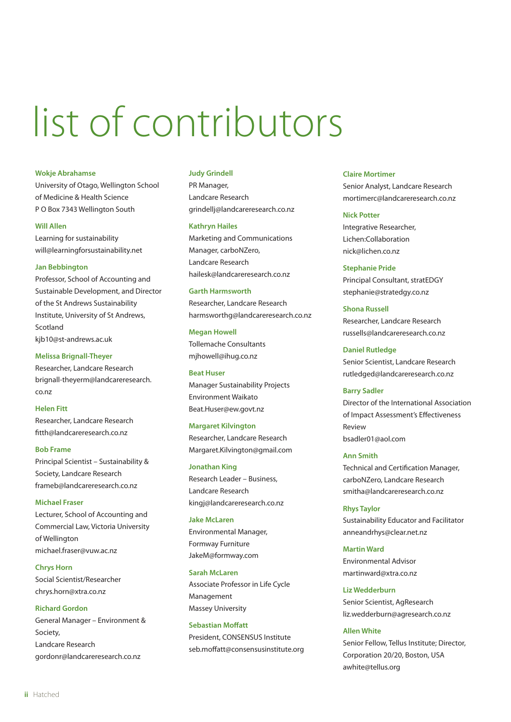# list of contributors

#### **Wokje Abrahamse**

University of Otago, Wellington School of Medicine & Health Science P O Box 7343 Wellington South

#### **Will Allen**

Learning for sustainability will@learningforsustainability.net

#### **Jan Bebbington**

Professor, School of Accounting and Sustainable Development, and Director of the St Andrews Sustainability Institute, University of St Andrews, Scotland kjb10@st-andrews.ac.uk

**Melissa Brignall-Theyer**

Researcher, Landcare Research [brignall-theyerm@landcareresearch.](mailto:brignall-theyerm@landcareresearch.co.nz) co.nz

#### **Helen Fitt**

Researcher, Landcare Research fitth@landcareresearch.co.nz

#### **Bob Frame**

Principal Scientist – Sustainability & Society, Landcare Research frameb@landcareresearch.co.nz

#### **Michael Fraser**

Lecturer, School of Accounting and Commercial Law, Victoria University of Wellington [michael.fraser@vuw.ac.nz](mailto:michael.fraser@vuw.ac.nz) 

**Chrys Horn** Social Scientist/Researcher chrys.horn@xtra.co.nz

#### **Richard Gordon**

General Manager – Environment & Society, Landcare Research gordonr@landcareresearch.co.nz

#### **Judy Grindell**

PR Manager, Landcare Research grindellj@landcareresearch.co.nz

#### **Kathryn Hailes**

Marketing and Communications Manager, carboNZero, Landcare Research hailesk@landcareresearch.co.nz

#### **Garth Harmsworth**

Researcher, Landcare Research harmsworthg@landcareresearch.co.nz

#### **Megan Howell**

Tollemache Consultants mjhowell@ihug.co.nz

#### **Beat Huser**

Manager Sustainability Projects Environment Waikato [Beat.Huser@ew.govt.nz](mailto:Beat.Huser@ew.govt.nz)

#### **Margaret Kilvington**

Researcher, Landcare Research [Margaret.Kilvington@gmail.com](mailto:Margaret.Kilvington@gmail.com)

#### **Jonathan King**

Research Leader – Business, Landcare Research kingj@landcareresearch.co.nz

#### **Jake McLaren**

Environmental Manager, Formway Furniture JakeM@formway.com

#### **Sarah McLaren**

Associate Professor in Life Cycle Management Massey University

#### **Sebastian Moffatt**

President, CONSENSUS Institute seb.moffatt@consensusinstitute.org

#### **Claire Mortimer**

Senior Analyst, Landcare Research mortimerc@landcareresearch.co.nz

#### **Nick Potter**

Integrative Researcher, Lichen:Collaboration nick@lichen.co.nz

#### **Stephanie Pride**

Principal Consultant, stratEDGY stephanie@stratedgy.co.nz

#### **Shona Russell** Researcher, Landcare Research russells@landcareresearch.co.nz

#### **Daniel Rutledge**

Senior Scientist, Landcare Research [rutledged@landcareresearch.co.nz](mailto:rutledged@landcareresearch.co.nz)

#### **Barry Sadler**

Director of the International Association of Impact Assessment's Effectiveness Review bsadler01@aol.com

#### **Ann Smith**

Technical and Certification Manager, carboNZero, Landcare Research smitha@landcareresearch.co.nz

#### **Rhys Taylor** Sustainability Educator and Facilitator anneandrhys@clear.net.nz

**Martin Ward** Environmental Advisor martinward@xtra.co.nz

#### **Liz Wedderburn**

Senior Scientist, AgResearch [liz.wedderburn@agresearch.co.nz](mailto:liz.wedderburn@agresearch.co.nz) 

#### **Allen White**

Senior Fellow, Tellus Institute; Director, Corporation 20/20, Boston, USA awhite@tellus.org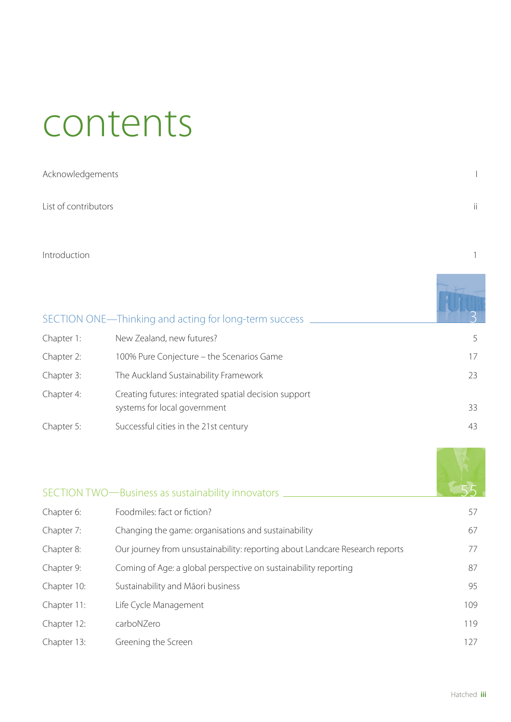### contents

| Acknowledgements     |     |
|----------------------|-----|
| List of contributors | ii. |
|                      |     |

Introduction and the state of the state of the state of the state of the state of the state of the state of the state of the state of the state of the state of the state of the state of the state of the state of the state

|            | SECTION ONE—Thinking and acting for long-term success                                 |    |
|------------|---------------------------------------------------------------------------------------|----|
| Chapter 1: | New Zealand, new futures?                                                             |    |
| Chapter 2: | 100% Pure Conjecture – the Scenarios Game                                             | 17 |
| Chapter 3: | The Auckland Sustainability Framework                                                 | 23 |
| Chapter 4: | Creating futures: integrated spatial decision support<br>systems for local government | 33 |
| Chapter 5: | Successful cities in the 21st century                                                 | 43 |

|             | SECTION TWO-Business as sustainability innovators                            |     |
|-------------|------------------------------------------------------------------------------|-----|
| Chapter 6:  | Foodmiles: fact or fiction?                                                  | 57  |
| Chapter 7:  | Changing the game: organisations and sustainability                          | 67  |
| Chapter 8:  | Our journey from unsustainability: reporting about Landcare Research reports | 77  |
| Chapter 9:  | Coming of Age: a global perspective on sustainability reporting              | 87  |
| Chapter 10: | Sustainability and Māori business                                            | 95  |
| Chapter 11: | Life Cycle Management                                                        | 109 |
| Chapter 12: | carboNZero                                                                   | 119 |
| Chapter 13: | Greening the Screen                                                          | 127 |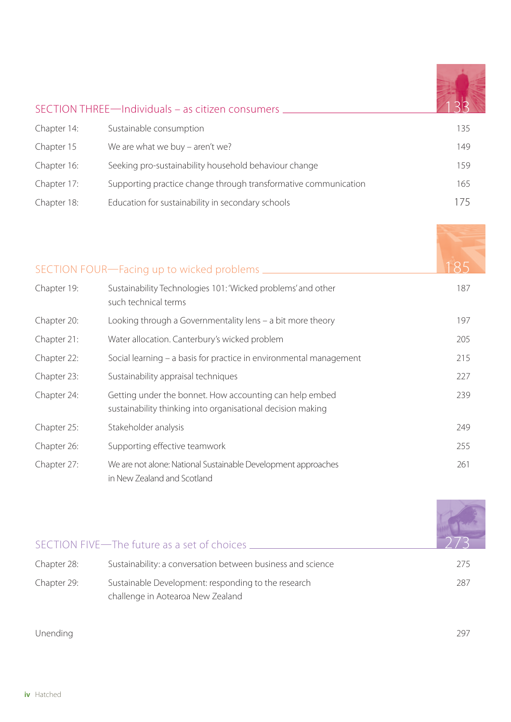|             | SECTION THREE-Individuals - as citizen consumers                |     |
|-------------|-----------------------------------------------------------------|-----|
| Chapter 14: | Sustainable consumption                                         | 135 |
| Chapter 15  | We are what we buy - aren't we?                                 | 149 |
| Chapter 16: | Seeking pro-sustainability household behaviour change           | 159 |
| Chapter 17: | Supporting practice change through transformative communication | 165 |
| Chapter 18: | Education for sustainability in secondary schools               | 75  |

|             | SECTION FOUR-Facing up to wicked problems                                                                              | 185 |
|-------------|------------------------------------------------------------------------------------------------------------------------|-----|
| Chapter 19: | Sustainability Technologies 101: 'Wicked problems' and other<br>such technical terms                                   | 187 |
| Chapter 20: | Looking through a Governmentality lens - a bit more theory                                                             | 197 |
| Chapter 21: | Water allocation. Canterbury's wicked problem                                                                          | 205 |
| Chapter 22: | Social learning - a basis for practice in environmental management                                                     | 215 |
| Chapter 23: | Sustainability appraisal techniques                                                                                    | 227 |
| Chapter 24: | Getting under the bonnet. How accounting can help embed<br>sustainability thinking into organisational decision making | 239 |
| Chapter 25: | Stakeholder analysis                                                                                                   | 249 |
| Chapter 26: | Supporting effective teamwork                                                                                          | 255 |
| Chapter 27: | We are not alone: National Sustainable Development approaches<br>in New Zealand and Scotland                           | 261 |

|             | SECTION FIVE-The future as a set of choices.                                             |     |
|-------------|------------------------------------------------------------------------------------------|-----|
| Chapter 28: | Sustainability: a conversation between business and science                              | 275 |
| Chapter 29: | Sustainable Development: responding to the research<br>challenge in Aotearoa New Zealand | 287 |

Unending 297

**Contract Contract Contract Contract Contract** 

 $\mathbf{A}$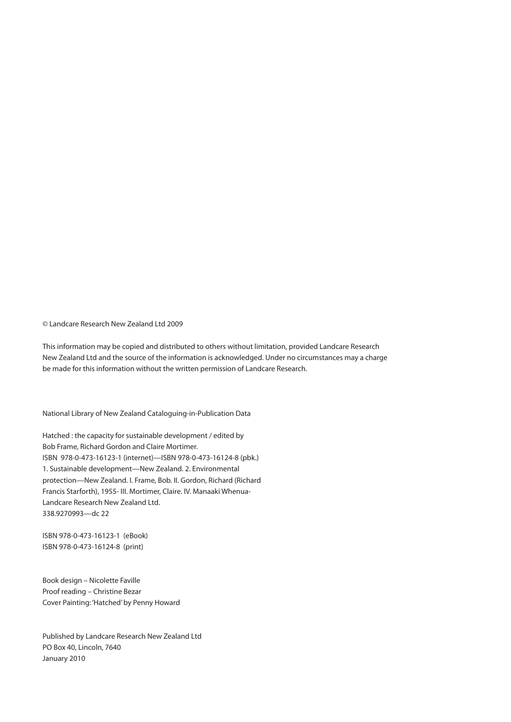© Landcare Research New Zealand Ltd 2009

This information may be copied and distributed to others without limitation, provided Landcare Research New Zealand Ltd and the source of the information is acknowledged. Under no circumstances may a charge be made for this information without the written permission of Landcare Research.

National Library of New Zealand Cataloguing-in-Publication Data

Hatched : the capacity for sustainable development / edited by Bob Frame, Richard Gordon and Claire Mortimer. ISBN 978-0-473-16123-1 (internet)—ISBN 978-0-473-16124-8 (pbk.) 1. Sustainable development—New Zealand. 2. Environmental protection—New Zealand. I. Frame, Bob. II. Gordon, Richard (Richard Francis Starforth), 1955- III. Mortimer, Claire. IV. Manaaki Whenua-Landcare Research New Zealand Ltd. 338.9270993—dc 22

ISBN 978-0-473-16123-1 (eBook) ISBN 978-0-473-16124-8 (print)

Book design – Nicolette Faville Proof reading – Christine Bezar Cover Painting: 'Hatched' by Penny Howard

Published by Landcare Research New Zealand Ltd PO Box 40, Lincoln, 7640 January 2010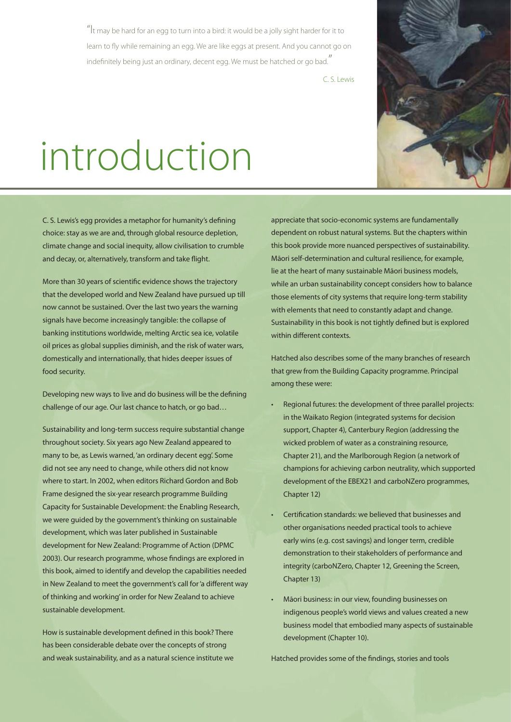$\mathrm{u}_1$ t may be hard for an egg to turn into a bird: it would be a jolly sight harder for it to learn to fly while remaining an egg. We are like eggs at present. And you cannot go on indefinitely being just an ordinary, decent egg. We must be hatched or go bad."

C. S. Lewis

## introduction

C. S. Lewis's egg provides a metaphor for humanity's defining choice: stay as we are and, through global resource depletion, climate change and social inequity, allow civilisation to crumble and decay, or, alternatively, transform and take flight.

More than 30 years of scientific evidence shows the trajectory that the developed world and New Zealand have pursued up till now cannot be sustained. Over the last two years the warning signals have become increasingly tangible: the collapse of banking institutions worldwide, melting Arctic sea ice, volatile oil prices as global supplies diminish, and the risk of water wars, domestically and internationally, that hides deeper issues of food security.

Developing new ways to live and do business will be the defining challenge of our age. Our last chance to hatch, or go bad…

Sustainability and long-term success require substantial change throughout society. Six years ago New Zealand appeared to many to be, as Lewis warned, 'an ordinary decent egg'. Some did not see any need to change, while others did not know where to start. In 2002, when editors Richard Gordon and Bob Frame designed the six-year research programme Building [Capacity for Sustainable Development: the Enabling Research](http://www.landcareresearch.co.nz/research/programme.asp?Proj_Collab_ID=5), we were guided by the government's thinking on sustainable development, which was later published in Sustainable development for New Zealand: Programme of Action (DPMC 2003). Our research programme, whose findings are explored in this book, aimed to identify and develop the capabilities needed in New Zealand to meet the government's call for 'a different way of thinking and working' in order for New Zealand to achieve sustainable development.

How is sustainable development defined in this book? There has been considerable debate over the concepts of strong and weak sustainability, and as a natural science institute we

appreciate that socio-economic systems are fundamentally dependent on robust natural systems. But the chapters within this book provide more nuanced perspectives of sustainability. Māori self-determination and cultural resilience, for example, lie at the heart of many sustainable Māori business models, while an urban sustainability concept considers how to balance those elements of city systems that require long-term stability with elements that need to constantly adapt and change. Sustainability in this book is not tightly defined but is explored within different contexts

Hatched also describes some of the many branches of research that grew from the Building Capacity programme. Principal among these were:

- Regional futures: the development of three parallel projects: in the Waikato Region (integrated systems for decision support, Chapter 4), Canterbury Region (addressing the wicked problem of water as a constraining resource, Chapter 21), and the Marlborough Region (a network of champions for achieving carbon neutrality, which supported development of the EBEX21 and carboNZero programmes, Chapter 12)
- Certification standards: we believed that businesses and other organisations needed practical tools to achieve early wins (e.g. cost savings) and longer term, credible demonstration to their stakeholders of performance and integrity (carboNZero, Chapter 12, Greening the Screen, Chapter 13)
- Māori business: in our view, founding businesses on indigenous people's world views and values created a new business model that embodied many aspects of sustainable development (Chapter 10).

Hatched provides some of the findings, stories and tools